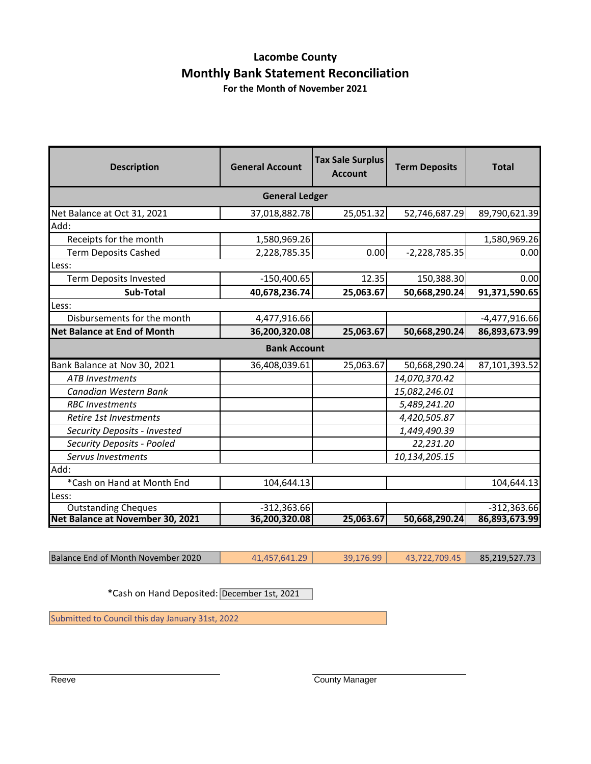# **Lacombe County Monthly Bank Statement Reconciliation**

**For the Month of November 2021**

| <b>Description</b>                 | <b>General Account</b> | <b>Tax Sale Surplus</b><br><b>Account</b> | <b>Term Deposits</b> | <b>Total</b>    |  |
|------------------------------------|------------------------|-------------------------------------------|----------------------|-----------------|--|
| <b>General Ledger</b>              |                        |                                           |                      |                 |  |
| Net Balance at Oct 31, 2021        | 37,018,882.78          | 25,051.32                                 | 52,746,687.29        | 89,790,621.39   |  |
| Add:                               |                        |                                           |                      |                 |  |
| Receipts for the month             | 1,580,969.26           |                                           |                      | 1,580,969.26    |  |
| <b>Term Deposits Cashed</b>        | 2,228,785.35           | 0.00                                      | $-2,228,785.35$      | 0.00            |  |
| Less:                              |                        |                                           |                      |                 |  |
| <b>Term Deposits Invested</b>      | $-150,400.65$          | 12.35                                     | 150,388.30           | 0.00            |  |
| Sub-Total                          | 40,678,236.74          | 25,063.67                                 | 50,668,290.24        | 91,371,590.65   |  |
| Less:                              |                        |                                           |                      |                 |  |
| Disbursements for the month        | 4,477,916.66           |                                           |                      | $-4,477,916.66$ |  |
| <b>Net Balance at End of Month</b> | 36,200,320.08          | 25,063.67                                 | 50,668,290.24        | 86,893,673.99   |  |
|                                    | <b>Bank Account</b>    |                                           |                      |                 |  |
| Bank Balance at Nov 30, 2021       | 36,408,039.61          | 25,063.67                                 | 50,668,290.24        | 87,101,393.52   |  |
| <b>ATB Investments</b>             |                        |                                           | 14,070,370.42        |                 |  |
| Canadian Western Bank              |                        |                                           | 15,082,246.01        |                 |  |
| <b>RBC</b> Investments             |                        |                                           | 5,489,241.20         |                 |  |
| Retire 1st Investments             |                        |                                           | 4,420,505.87         |                 |  |
| Security Deposits - Invested       |                        |                                           | 1,449,490.39         |                 |  |
| Security Deposits - Pooled         |                        |                                           | 22,231.20            |                 |  |
| Servus Investments                 |                        |                                           | 10,134,205.15        |                 |  |
| Add:                               |                        |                                           |                      |                 |  |
| *Cash on Hand at Month End         | 104,644.13             |                                           |                      | 104,644.13      |  |
| Less:                              |                        |                                           |                      |                 |  |
| <b>Outstanding Cheques</b>         | $-312,363.66$          |                                           |                      | $-312,363.66$   |  |
| Net Balance at November 30, 2021   | 36,200,320.08          | 25,063.67                                 | 50,668,290.24        | 86,893,673.99   |  |

Balance End of Month November 2020 41,457,641.29 39,176.99 43,722,709.45 85,219,527.73

\*Cash on Hand Deposited: December 1st, 2021

Submitted to Council this day January 31st, 2022

Reeve **County Manager** County Manager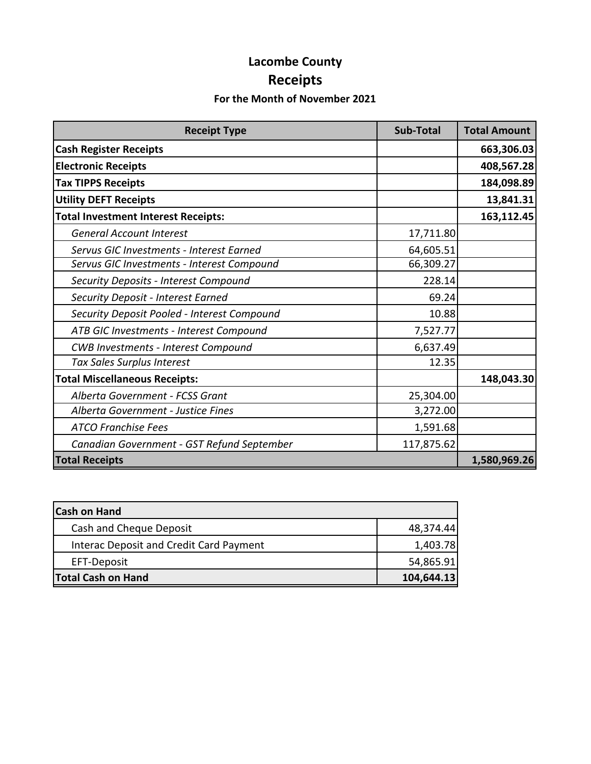# **Lacombe County Receipts**

### **For the Month of November 2021**

| <b>Receipt Type</b>                         | <b>Sub-Total</b> | <b>Total Amount</b> |
|---------------------------------------------|------------------|---------------------|
| <b>Cash Register Receipts</b>               |                  | 663,306.03          |
| <b>Electronic Receipts</b>                  |                  | 408,567.28          |
| <b>Tax TIPPS Receipts</b>                   |                  | 184,098.89          |
| <b>Utility DEFT Receipts</b>                |                  | 13,841.31           |
| <b>Total Investment Interest Receipts:</b>  |                  | 163,112.45          |
| <b>General Account Interest</b>             | 17,711.80        |                     |
| Servus GIC Investments - Interest Earned    | 64,605.51        |                     |
| Servus GIC Investments - Interest Compound  | 66,309.27        |                     |
| Security Deposits - Interest Compound       | 228.14           |                     |
| Security Deposit - Interest Earned          | 69.24            |                     |
| Security Deposit Pooled - Interest Compound | 10.88            |                     |
| ATB GIC Investments - Interest Compound     | 7,527.77         |                     |
| <b>CWB Investments - Interest Compound</b>  | 6,637.49         |                     |
| Tax Sales Surplus Interest                  | 12.35            |                     |
| <b>Total Miscellaneous Receipts:</b>        |                  | 148,043.30          |
| Alberta Government - FCSS Grant             | 25,304.00        |                     |
| Alberta Government - Justice Fines          | 3,272.00         |                     |
| <b>ATCO Franchise Fees</b>                  | 1,591.68         |                     |
| Canadian Government - GST Refund September  | 117,875.62       |                     |
| <b>Total Receipts</b>                       |                  | 1,580,969.26        |

| <b>Cash on Hand</b>                     |            |
|-----------------------------------------|------------|
| Cash and Cheque Deposit                 | 48,374.44  |
| Interac Deposit and Credit Card Payment | 1,403.78   |
| EFT-Deposit                             | 54,865.91  |
| <b>Total Cash on Hand</b>               | 104,644.13 |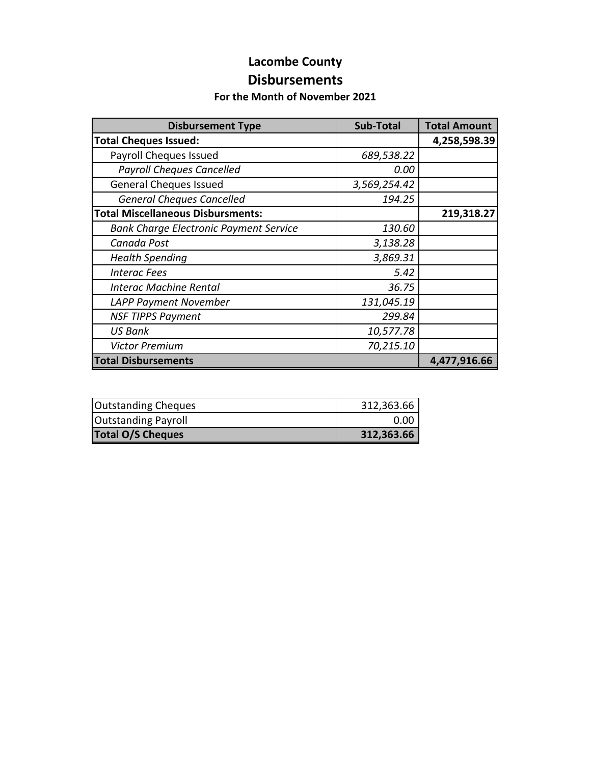### **Lacombe County Disbursements**

#### **For the Month of November 2021**

| <b>Disbursement Type</b>                      | Sub-Total    | <b>Total Amount</b> |
|-----------------------------------------------|--------------|---------------------|
| <b>Total Cheques Issued:</b>                  |              | 4,258,598.39        |
| Payroll Cheques Issued                        | 689,538.22   |                     |
| <b>Payroll Cheques Cancelled</b>              | 0.00         |                     |
| <b>General Cheques Issued</b>                 | 3,569,254.42 |                     |
| <b>General Cheques Cancelled</b>              | 194.25       |                     |
| <b>Total Miscellaneous Disbursments:</b>      |              | 219,318.27          |
| <b>Bank Charge Electronic Payment Service</b> | 130.60       |                     |
| Canada Post                                   | 3,138.28     |                     |
| <b>Health Spending</b>                        | 3,869.31     |                     |
| <b>Interac Fees</b>                           | 5.42         |                     |
| <b>Interac Machine Rental</b>                 | 36.75        |                     |
| <b>LAPP Payment November</b>                  | 131,045.19   |                     |
| <b>NSF TIPPS Payment</b>                      | 299.84       |                     |
| <b>US Bank</b>                                | 10,577.78    |                     |
| <b>Victor Premium</b>                         | 70,215.10    |                     |
| <b>Total Disbursements</b>                    |              | 4,477,916.66        |

| <b>Outstanding Cheques</b> | 312,363.66 |
|----------------------------|------------|
| <b>Outstanding Payroll</b> | 0.00       |
| <b>Total O/S Cheques</b>   | 312,363.66 |